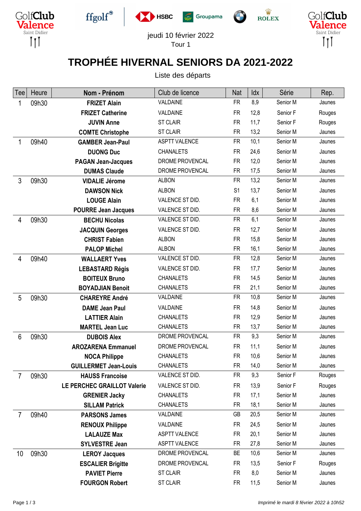











jeudi 10 février 2022 Tour 1

 $\sqrt{2}$ 

## **TROPHÉE HIVERNAL SENIORS DA 2021-2022**

Liste des départs

| Tee             | Heure | Nom - Prénom                 | Club de licence      | Nat            | Idx  | Série    | Rep.   |
|-----------------|-------|------------------------------|----------------------|----------------|------|----------|--------|
| 1               | 09h30 | <b>FRIZET Alain</b>          | VALDAINE             | <b>FR</b>      | 8,9  | Senior M | Jaunes |
|                 |       | <b>FRIZET Catherine</b>      | VALDAINE             | <b>FR</b>      | 12,8 | Senior F | Rouges |
|                 |       | <b>JUVIN Anne</b>            | <b>ST CLAIR</b>      | <b>FR</b>      | 11,7 | Senior F | Rouges |
|                 |       | <b>COMTE Christophe</b>      | <b>ST CLAIR</b>      | <b>FR</b>      | 13,2 | Senior M | Jaunes |
| 1               | 09h40 | <b>GAMBER Jean-Paul</b>      | <b>ASPTT VALENCE</b> | <b>FR</b>      | 10,1 | Senior M | Jaunes |
|                 |       | <b>DUONG Duc</b>             | <b>CHANALETS</b>     | <b>FR</b>      | 24,6 | Senior M | Jaunes |
|                 |       | <b>PAGAN Jean-Jacques</b>    | DROME PROVENCAL      | <b>FR</b>      | 12,0 | Senior M | Jaunes |
|                 |       | <b>DUMAS Claude</b>          | DROME PROVENCAL      | <b>FR</b>      | 17,5 | Senior M | Jaunes |
| $\mathfrak{Z}$  | 09h30 | <b>VIDALIE Jérome</b>        | <b>ALBON</b>         | <b>FR</b>      | 13,2 | Senior M | Jaunes |
|                 |       | <b>DAWSON Nick</b>           | <b>ALBON</b>         | S <sub>1</sub> | 13,7 | Senior M | Jaunes |
|                 |       | <b>LOUGE Alain</b>           | VALENCE ST DID.      | <b>FR</b>      | 6,1  | Senior M | Jaunes |
|                 |       | <b>POURRE Jean Jacques</b>   | VALENCE ST DID.      | <b>FR</b>      | 8,6  | Senior M | Jaunes |
| 4               | 09h30 | <b>BECHU Nicolas</b>         | VALENCE ST DID.      | <b>FR</b>      | 6,1  | Senior M | Jaunes |
|                 |       | <b>JACQUIN Georges</b>       | VALENCE ST DID.      | <b>FR</b>      | 12,7 | Senior M | Jaunes |
|                 |       | <b>CHRIST Fabien</b>         | <b>ALBON</b>         | <b>FR</b>      | 15,8 | Senior M | Jaunes |
|                 |       | <b>PALOP Michel</b>          | <b>ALBON</b>         | <b>FR</b>      | 16,1 | Senior M | Jaunes |
| 4               | 09h40 | <b>WALLAERT Yves</b>         | VALENCE ST DID.      | <b>FR</b>      | 12,8 | Senior M | Jaunes |
|                 |       | <b>LEBASTARD Régis</b>       | VALENCE ST DID.      | <b>FR</b>      | 17,7 | Senior M | Jaunes |
|                 |       | <b>BOITEUX Bruno</b>         | <b>CHANALETS</b>     | <b>FR</b>      | 14,5 | Senior M | Jaunes |
|                 |       | <b>BOYADJIAN Benoit</b>      | <b>CHANALETS</b>     | <b>FR</b>      | 21,1 | Senior M | Jaunes |
| 5               | 09h30 | <b>CHAREYRE André</b>        | VALDAINE             | <b>FR</b>      | 10,8 | Senior M | Jaunes |
|                 |       | <b>DAME Jean Paul</b>        | VALDAINE             | <b>FR</b>      | 14,8 | Senior M | Jaunes |
|                 |       | <b>LATTIER Alain</b>         | <b>CHANALETS</b>     | <b>FR</b>      | 12,9 | Senior M | Jaunes |
|                 |       | <b>MARTEL Jean Luc</b>       | <b>CHANALETS</b>     | <b>FR</b>      | 13,7 | Senior M | Jaunes |
| $6\phantom{1}6$ | 09h30 | <b>DUBOIS Alex</b>           | DROME PROVENCAL      | <b>FR</b>      | 9,3  | Senior M | Jaunes |
|                 |       | <b>AROZARENA Emmanuel</b>    | DROME PROVENCAL      | <b>FR</b>      | 11,1 | Senior M | Jaunes |
|                 |       | <b>NOCA Philippe</b>         | <b>CHANALETS</b>     | <b>FR</b>      | 10,6 | Senior M | Jaunes |
|                 |       | <b>GUILLERMET Jean-Louis</b> | <b>CHANALETS</b>     | <b>FR</b>      | 14,0 | Senior M | Jaunes |
| $\overline{7}$  | 09h30 | <b>HAUSS Francoise</b>       | VALENCE ST DID.      | <b>FR</b>      | 9,3  | Senior F | Rouges |
|                 |       | LE PERCHEC GRAILLOT Valerie  | VALENCE ST DID.      | <b>FR</b>      | 13,9 | Senior F | Rouges |
|                 |       | <b>GRENIER Jacky</b>         | <b>CHANALETS</b>     | <b>FR</b>      | 17,1 | Senior M | Jaunes |
|                 |       | <b>SILLAM Patrick</b>        | <b>CHANALETS</b>     | <b>FR</b>      | 18,1 | Senior M | Jaunes |
| $\overline{7}$  | 09h40 | <b>PARSONS James</b>         | VALDAINE             | <b>GB</b>      | 20,5 | Senior M | Jaunes |
|                 |       | <b>RENOUX Philippe</b>       | VALDAINE             | <b>FR</b>      | 24,5 | Senior M | Jaunes |
|                 |       | <b>LALAUZE Max</b>           | <b>ASPTT VALENCE</b> | <b>FR</b>      | 20,1 | Senior M | Jaunes |
|                 |       | <b>SYLVESTRE Jean</b>        | <b>ASPTT VALENCE</b> | <b>FR</b>      | 27,8 | Senior M | Jaunes |
| 10              | 09h30 | <b>LEROY Jacques</b>         | DROME PROVENCAL      | BE             | 10,6 | Senior M | Jaunes |
|                 |       | <b>ESCALIER Brigitte</b>     | DROME PROVENCAL      | <b>FR</b>      | 13,5 | Senior F | Rouges |
|                 |       | <b>PAVIET Pierre</b>         | ST CLAIR             | <b>FR</b>      | 8,0  | Senior M | Jaunes |
|                 |       | <b>FOURGON Robert</b>        | <b>ST CLAIR</b>      | <b>FR</b>      | 11,5 | Senior M | Jaunes |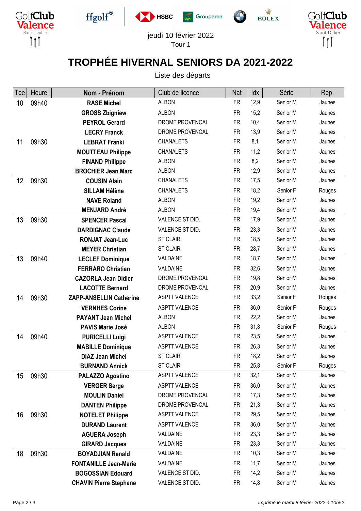











jeudi 10 février 2022 Tour 1

 $\sqrt{2}$ 

## **TROPHÉE HIVERNAL SENIORS DA 2021-2022**

Liste des départs

| Tee | Heure | Nom - Prénom                   | Club de licence      | Nat       | Idx  | Série    | Rep.   |
|-----|-------|--------------------------------|----------------------|-----------|------|----------|--------|
| 10  | 09h40 | <b>RASE Michel</b>             | <b>ALBON</b>         | <b>FR</b> | 12,9 | Senior M | Jaunes |
|     |       | <b>GROSS Zbigniew</b>          | <b>ALBON</b>         | <b>FR</b> | 15,2 | Senior M | Jaunes |
|     |       | <b>PEYROL Gerard</b>           | DROME PROVENCAL      | <b>FR</b> | 10,4 | Senior M | Jaunes |
|     |       | <b>LECRY Franck</b>            | DROME PROVENCAL      | <b>FR</b> | 13,9 | Senior M | Jaunes |
| 11  | 09h30 | <b>LEBRAT Franki</b>           | <b>CHANALETS</b>     | <b>FR</b> | 8,1  | Senior M | Jaunes |
|     |       | <b>MOUTTEAU Philippe</b>       | <b>CHANALETS</b>     | <b>FR</b> | 11,2 | Senior M | Jaunes |
|     |       | <b>FINAND Philippe</b>         | <b>ALBON</b>         | <b>FR</b> | 8,2  | Senior M | Jaunes |
|     |       | <b>BROCHIER Jean Marc</b>      | <b>ALBON</b>         | <b>FR</b> | 12,9 | Senior M | Jaunes |
| 12  | 09h30 | <b>COUSIN Alain</b>            | <b>CHANALETS</b>     | <b>FR</b> | 17,5 | Senior M | Jaunes |
|     |       | <b>SILLAM Hélène</b>           | <b>CHANALETS</b>     | <b>FR</b> | 18,2 | Senior F | Rouges |
|     |       | <b>NAVE Roland</b>             | <b>ALBON</b>         | <b>FR</b> | 19,2 | Senior M | Jaunes |
|     |       | <b>MENJARD André</b>           | <b>ALBON</b>         | <b>FR</b> | 19,4 | Senior M | Jaunes |
| 13  | 09h30 | <b>SPENCER Pascal</b>          | VALENCE ST DID.      | <b>FR</b> | 17,9 | Senior M | Jaunes |
|     |       | <b>DARDIGNAC Claude</b>        | VALENCE ST DID.      | <b>FR</b> | 23,3 | Senior M | Jaunes |
|     |       | <b>RONJAT Jean-Luc</b>         | <b>ST CLAIR</b>      | <b>FR</b> | 18,5 | Senior M | Jaunes |
|     |       | <b>MEYER Christian</b>         | <b>ST CLAIR</b>      | <b>FR</b> | 28,7 | Senior M | Jaunes |
| 13  | 09h40 | <b>LECLEF Dominique</b>        | VALDAINE             | <b>FR</b> | 18,7 | Senior M | Jaunes |
|     |       | <b>FERRARO Christian</b>       | VALDAINE             | <b>FR</b> | 32,6 | Senior M | Jaunes |
|     |       | <b>CAZORLA Jean Didier</b>     | DROME PROVENCAL      | <b>FR</b> | 19,8 | Senior M | Jaunes |
|     |       | <b>LACOTTE Bernard</b>         | DROME PROVENCAL      | <b>FR</b> | 20,9 | Senior M | Jaunes |
| 14  | 09h30 | <b>ZAPP-ANSELLIN Catherine</b> | <b>ASPTT VALENCE</b> | <b>FR</b> | 33,2 | Senior F | Rouges |
|     |       | <b>VERNHES Corine</b>          | <b>ASPTT VALENCE</b> | <b>FR</b> | 36,0 | Senior F | Rouges |
|     |       | <b>PAYANT Jean Michel</b>      | <b>ALBON</b>         | <b>FR</b> | 22,2 | Senior M | Jaunes |
|     |       | <b>PAVIS Marie José</b>        | <b>ALBON</b>         | <b>FR</b> | 31,8 | Senior F | Rouges |
| 14  | 09h40 | <b>PURICELLI Luigi</b>         | <b>ASPTT VALENCE</b> | <b>FR</b> | 23,5 | Senior M | Jaunes |
|     |       | <b>MABILLE Dominique</b>       | <b>ASPTT VALENCE</b> | <b>FR</b> | 26,3 | Senior M | Jaunes |
|     |       | <b>DIAZ Jean Michel</b>        | <b>ST CLAIR</b>      | <b>FR</b> | 18,2 | Senior M | Jaunes |
|     |       | <b>BURNAND Annick</b>          | <b>ST CLAIR</b>      | <b>FR</b> | 25,8 | Senior F | Rouges |
| 15  | 09h30 | <b>PALAZZO Agostino</b>        | <b>ASPTT VALENCE</b> | <b>FR</b> | 32,1 | Senior M | Jaunes |
|     |       | <b>VERGER Serge</b>            | <b>ASPTT VALENCE</b> | <b>FR</b> | 36,0 | Senior M | Jaunes |
|     |       | <b>MOULIN Daniel</b>           | DROME PROVENCAL      | <b>FR</b> | 17,3 | Senior M | Jaunes |
|     |       | <b>DANTEN Philippe</b>         | DROME PROVENCAL      | <b>FR</b> | 21,3 | Senior M | Jaunes |
| 16  | 09h30 | <b>NOTELET Philippe</b>        | <b>ASPTT VALENCE</b> | FR.       | 29,5 | Senior M | Jaunes |
|     |       | <b>DURAND Laurent</b>          | <b>ASPTT VALENCE</b> | <b>FR</b> | 36,0 | Senior M | Jaunes |
|     |       | <b>AGUERA Joseph</b>           | VALDAINE             | <b>FR</b> | 23,3 | Senior M | Jaunes |
|     |       | <b>GIRARD Jacques</b>          | VALDAINE             | <b>FR</b> | 23,3 | Senior M | Jaunes |
| 18  | 09h30 | <b>BOYADJIAN Renald</b>        | VALDAINE             | <b>FR</b> | 10,3 | Senior M | Jaunes |
|     |       | <b>FONTANILLE Jean-Marie</b>   | VALDAINE             | <b>FR</b> | 11,7 | Senior M | Jaunes |
|     |       | <b>BOGOSSIAN Edouard</b>       | VALENCE ST DID.      | <b>FR</b> | 14,2 | Senior M | Jaunes |
|     |       | <b>CHAVIN Pierre Stephane</b>  | VALENCE ST DID.      | <b>FR</b> | 14,8 | Senior M | Jaunes |